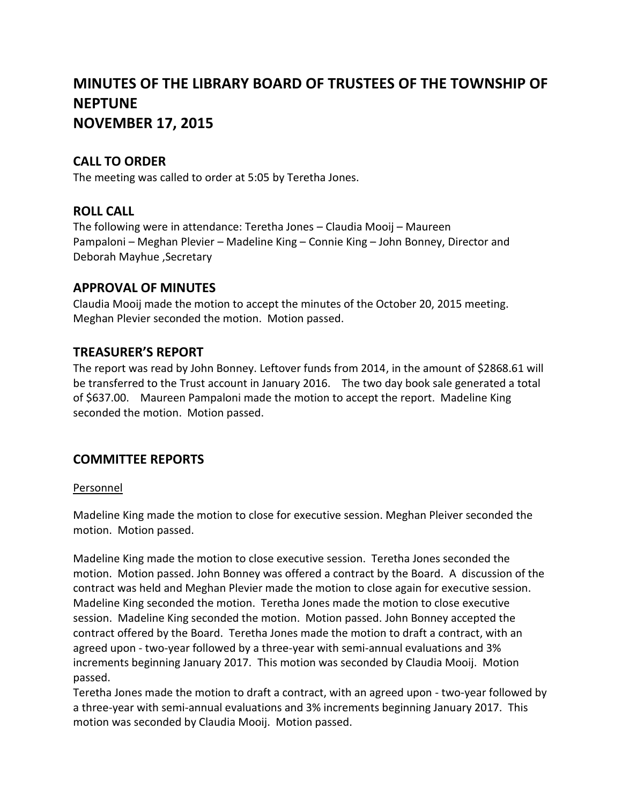# **MINUTES OF THE LIBRARY BOARD OF TRUSTEES OF THE TOWNSHIP OF NEPTUNE NOVEMBER 17, 2015**

# **CALL TO ORDER**

The meeting was called to order at 5:05 by Teretha Jones.

# **ROLL CALL**

The following were in attendance: Teretha Jones – Claudia Mooij – Maureen Pampaloni – Meghan Plevier – Madeline King – Connie King – John Bonney, Director and Deborah Mayhue ,Secretary

### **APPROVAL OF MINUTES**

Claudia Mooij made the motion to accept the minutes of the October 20, 2015 meeting. Meghan Plevier seconded the motion. Motion passed.

# **TREASURER'S REPORT**

The report was read by John Bonney. Leftover funds from 2014, in the amount of \$2868.61 will be transferred to the Trust account in January 2016. The two day book sale generated a total of \$637.00. Maureen Pampaloni made the motion to accept the report. Madeline King seconded the motion. Motion passed.

# **COMMITTEE REPORTS**

#### Personnel

Madeline King made the motion to close for executive session. Meghan Pleiver seconded the motion. Motion passed.

Madeline King made the motion to close executive session. Teretha Jones seconded the motion. Motion passed. John Bonney was offered a contract by the Board. A discussion of the contract was held and Meghan Plevier made the motion to close again for executive session. Madeline King seconded the motion. Teretha Jones made the motion to close executive session. Madeline King seconded the motion. Motion passed. John Bonney accepted the contract offered by the Board. Teretha Jones made the motion to draft a contract, with an agreed upon - two-year followed by a three-year with semi-annual evaluations and 3% increments beginning January 2017. This motion was seconded by Claudia Mooij. Motion passed.

Teretha Jones made the motion to draft a contract, with an agreed upon - two-year followed by a three-year with semi-annual evaluations and 3% increments beginning January 2017. This motion was seconded by Claudia Mooij. Motion passed.